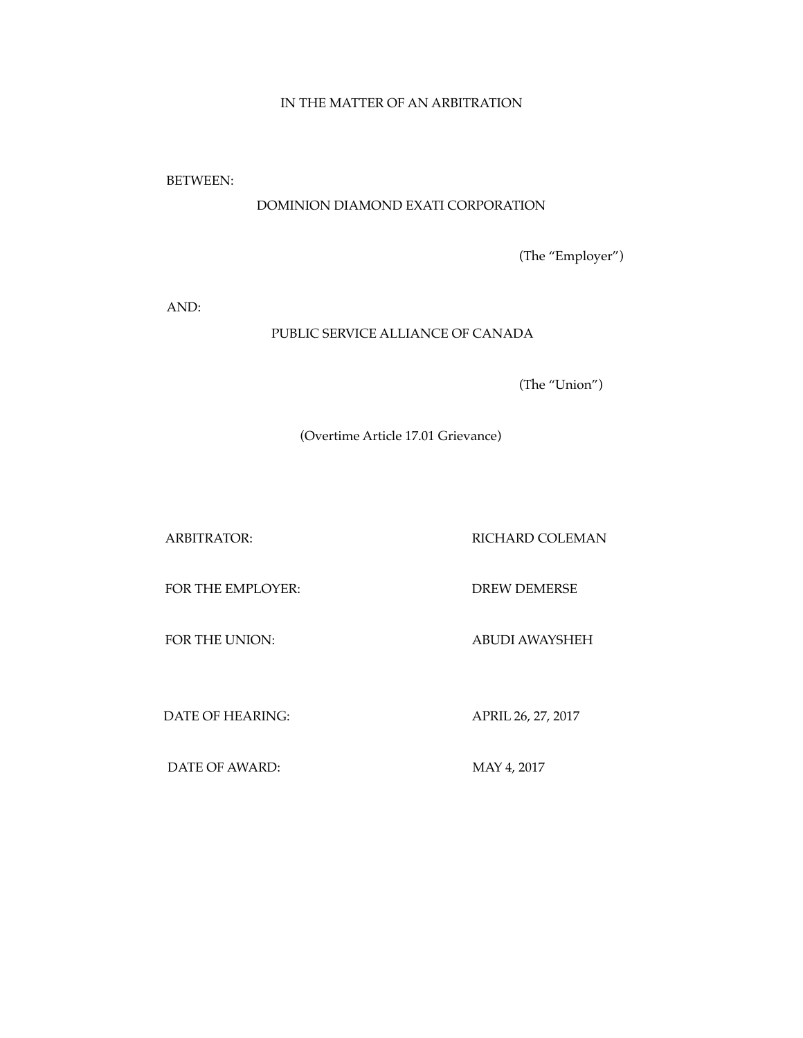# IN THE MATTER OF AN ARBITRATION

BETWEEN:

# DOMINION DIAMOND EXATI CORPORATION

(The "Employer")

AND:

# PUBLIC SERVICE ALLIANCE OF CANADA

(The "Union")

(Overtime Article 17.01 Grievance)

ARBITRATOR: RICHARD COLEMAN

FOR THE EMPLOYER: DREW DEMERSE

FOR THE UNION: ABUDI AWAYSHEH

DATE OF HEARING: APRIL 26, 27, 2017

DATE OF AWARD: MAY 4, 2017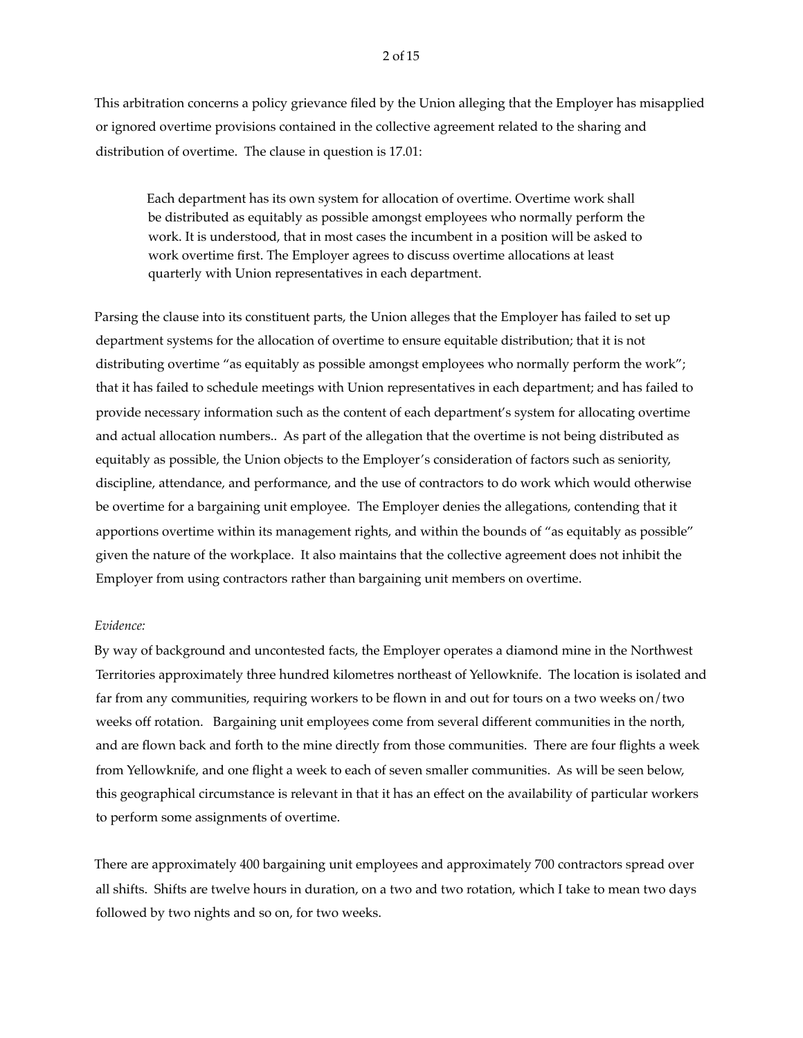This arbitration concerns a policy grievance filed by the Union alleging that the Employer has misapplied or ignored overtime provisions contained in the collective agreement related to the sharing and distribution of overtime. The clause in question is 17.01:

Each department has its own system for allocation of overtime. Overtime work shall be distributed as equitably as possible amongst employees who normally perform the work. It is understood, that in most cases the incumbent in a position will be asked to work overtime first. The Employer agrees to discuss overtime allocations at least quarterly with Union representatives in each department.

Parsing the clause into its constituent parts, the Union alleges that the Employer has failed to set up department systems for the allocation of overtime to ensure equitable distribution; that it is not distributing overtime "as equitably as possible amongst employees who normally perform the work"; that it has failed to schedule meetings with Union representatives in each department; and has failed to provide necessary information such as the content of each department's system for allocating overtime and actual allocation numbers.. As part of the allegation that the overtime is not being distributed as equitably as possible, the Union objects to the Employer's consideration of factors such as seniority, discipline, attendance, and performance, and the use of contractors to do work which would otherwise be overtime for a bargaining unit employee. The Employer denies the allegations, contending that it apportions overtime within its management rights, and within the bounds of "as equitably as possible" given the nature of the workplace. It also maintains that the collective agreement does not inhibit the Employer from using contractors rather than bargaining unit members on overtime.

# *Evidence:*

By way of background and uncontested facts, the Employer operates a diamond mine in the Northwest Territories approximately three hundred kilometres northeast of Yellowknife. The location is isolated and far from any communities, requiring workers to be flown in and out for tours on a two weeks on/two weeks off rotation. Bargaining unit employees come from several different communities in the north, and are flown back and forth to the mine directly from those communities. There are four flights a week from Yellowknife, and one flight a week to each of seven smaller communities. As will be seen below, this geographical circumstance is relevant in that it has an effect on the availability of particular workers to perform some assignments of overtime.

There are approximately 400 bargaining unit employees and approximately 700 contractors spread over all shifts. Shifts are twelve hours in duration, on a two and two rotation, which I take to mean two days followed by two nights and so on, for two weeks.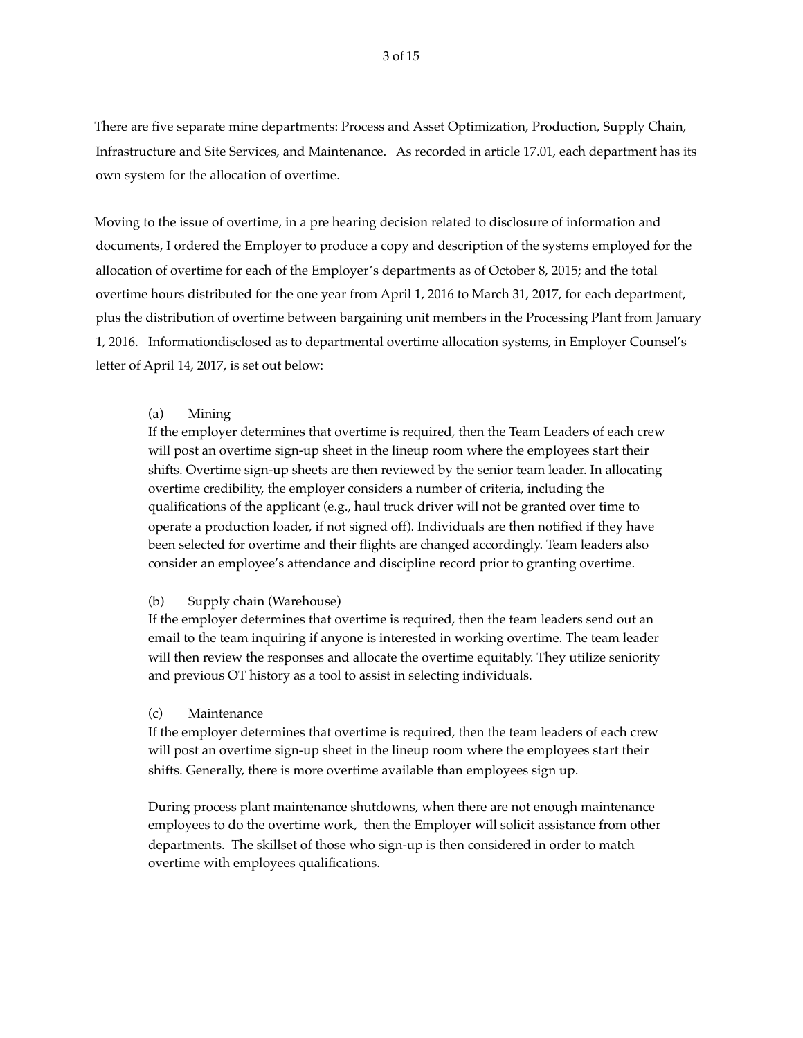There are five separate mine departments: Process and Asset Optimization, Production, Supply Chain, Infrastructure and Site Services, and Maintenance. As recorded in article 17.01, each department has its own system for the allocation of overtime.

Moving to the issue of overtime, in a pre hearing decision related to disclosure of information and documents, I ordered the Employer to produce a copy and description of the systems employed for the allocation of overtime for each of the Employer's departments as of October 8, 2015; and the total overtime hours distributed for the one year from April 1, 2016 to March 31, 2017, for each department, plus the distribution of overtime between bargaining unit members in the Processing Plant from January 1, 2016. Informationdisclosed as to departmental overtime allocation systems, in Employer Counsel's letter of April 14, 2017, is set out below:

### (a) Mining

If the employer determines that overtime is required, then the Team Leaders of each crew will post an overtime sign-up sheet in the lineup room where the employees start their shifts. Overtime sign-up sheets are then reviewed by the senior team leader. In allocating overtime credibility, the employer considers a number of criteria, including the qualifications of the applicant (e.g., haul truck driver will not be granted over time to operate a production loader, if not signed off). Individuals are then notified if they have been selected for overtime and their flights are changed accordingly. Team leaders also consider an employee's attendance and discipline record prior to granting overtime.

### (b) Supply chain (Warehouse)

If the employer determines that overtime is required, then the team leaders send out an email to the team inquiring if anyone is interested in working overtime. The team leader will then review the responses and allocate the overtime equitably. They utilize seniority and previous OT history as a tool to assist in selecting individuals.

## (c) Maintenance

If the employer determines that overtime is required, then the team leaders of each crew will post an overtime sign-up sheet in the lineup room where the employees start their shifts. Generally, there is more overtime available than employees sign up.

During process plant maintenance shutdowns, when there are not enough maintenance employees to do the overtime work, then the Employer will solicit assistance from other departments. The skillset of those who sign-up is then considered in order to match overtime with employees qualifications.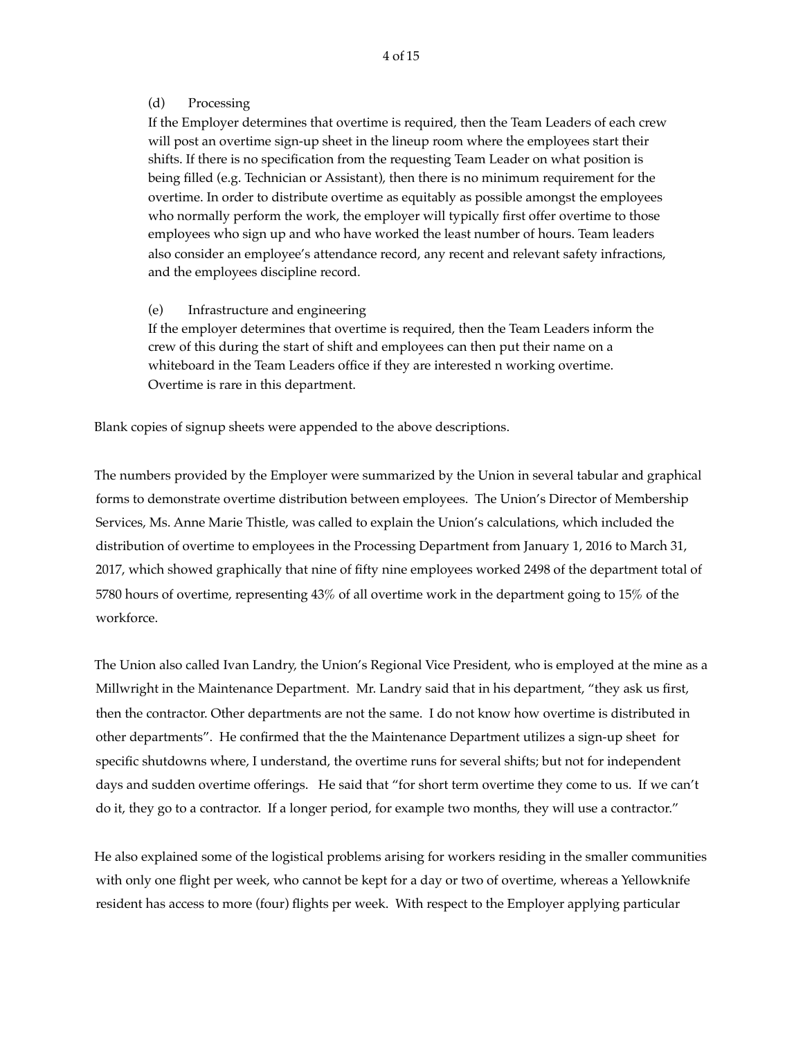## (d) Processing

If the Employer determines that overtime is required, then the Team Leaders of each crew will post an overtime sign-up sheet in the lineup room where the employees start their shifts. If there is no specification from the requesting Team Leader on what position is being filled (e.g. Technician or Assistant), then there is no minimum requirement for the overtime. In order to distribute overtime as equitably as possible amongst the employees who normally perform the work, the employer will typically first offer overtime to those employees who sign up and who have worked the least number of hours. Team leaders also consider an employee's attendance record, any recent and relevant safety infractions, and the employees discipline record.

# (e) Infrastructure and engineering

If the employer determines that overtime is required, then the Team Leaders inform the crew of this during the start of shift and employees can then put their name on a whiteboard in the Team Leaders office if they are interested n working overtime. Overtime is rare in this department.

Blank copies of signup sheets were appended to the above descriptions.

The numbers provided by the Employer were summarized by the Union in several tabular and graphical forms to demonstrate overtime distribution between employees. The Union's Director of Membership Services, Ms. Anne Marie Thistle, was called to explain the Union's calculations, which included the distribution of overtime to employees in the Processing Department from January 1, 2016 to March 31, 2017, which showed graphically that nine of fifty nine employees worked 2498 of the department total of 5780 hours of overtime, representing 43% of all overtime work in the department going to 15% of the workforce.

The Union also called Ivan Landry, the Union's Regional Vice President, who is employed at the mine as a Millwright in the Maintenance Department. Mr. Landry said that in his department, "they ask us first, then the contractor. Other departments are not the same. I do not know how overtime is distributed in other departments". He confirmed that the the Maintenance Department utilizes a sign-up sheet for specific shutdowns where, I understand, the overtime runs for several shifts; but not for independent days and sudden overtime offerings. He said that "for short term overtime they come to us. If we can't do it, they go to a contractor. If a longer period, for example two months, they will use a contractor."

He also explained some of the logistical problems arising for workers residing in the smaller communities with only one flight per week, who cannot be kept for a day or two of overtime, whereas a Yellowknife resident has access to more (four) flights per week. With respect to the Employer applying particular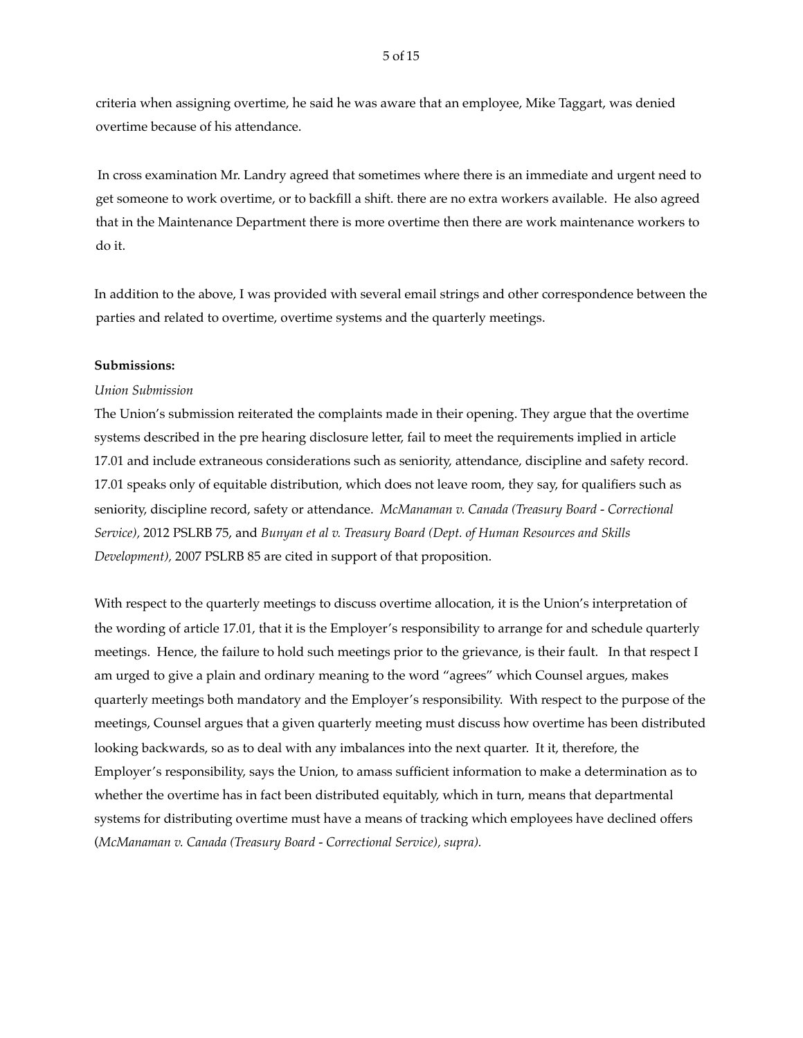criteria when assigning overtime, he said he was aware that an employee, Mike Taggart, was denied overtime because of his attendance.

 In cross examination Mr. Landry agreed that sometimes where there is an immediate and urgent need to get someone to work overtime, or to backfill a shift. there are no extra workers available. He also agreed that in the Maintenance Department there is more overtime then there are work maintenance workers to do it.

In addition to the above, I was provided with several email strings and other correspondence between the parties and related to overtime, overtime systems and the quarterly meetings.

### **Submissions:**

# *Union Submission*

The Union's submission reiterated the complaints made in their opening. They argue that the overtime systems described in the pre hearing disclosure letter, fail to meet the requirements implied in article 17.01 and include extraneous considerations such as seniority, attendance, discipline and safety record. 17.01 speaks only of equitable distribution, which does not leave room, they say, for qualifiers such as seniority, discipline record, safety or attendance. *McManaman v. Canada (Treasury Board - Correctional Service),* 2012 PSLRB 75, and *Bunyan et al v. Treasury Board (Dept. of Human Resources and Skills Development),* 2007 PSLRB 85 are cited in support of that proposition.

With respect to the quarterly meetings to discuss overtime allocation, it is the Union's interpretation of the wording of article 17.01, that it is the Employer's responsibility to arrange for and schedule quarterly meetings. Hence, the failure to hold such meetings prior to the grievance, is their fault. In that respect I am urged to give a plain and ordinary meaning to the word "agrees" which Counsel argues, makes quarterly meetings both mandatory and the Employer's responsibility. With respect to the purpose of the meetings, Counsel argues that a given quarterly meeting must discuss how overtime has been distributed looking backwards, so as to deal with any imbalances into the next quarter. It it, therefore, the Employer's responsibility, says the Union, to amass sufficient information to make a determination as to whether the overtime has in fact been distributed equitably, which in turn, means that departmental systems for distributing overtime must have a means of tracking which employees have declined offers (*McManaman v. Canada (Treasury Board - Correctional Service), supra).*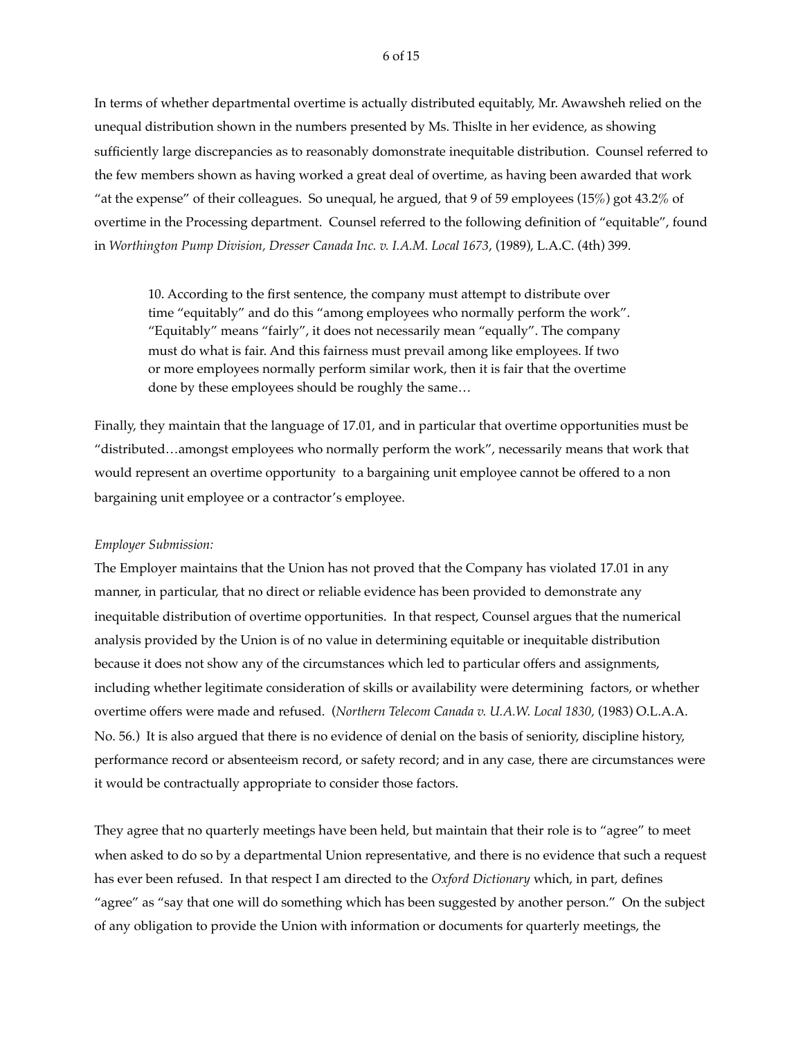#### 6 of 15

In terms of whether departmental overtime is actually distributed equitably, Mr. Awawsheh relied on the unequal distribution shown in the numbers presented by Ms. Thislte in her evidence, as showing sufficiently large discrepancies as to reasonably domonstrate inequitable distribution. Counsel referred to the few members shown as having worked a great deal of overtime, as having been awarded that work "at the expense" of their colleagues. So unequal, he argued, that 9 of 59 employees (15%) got 43.2% of overtime in the Processing department. Counsel referred to the following definition of "equitable", found in *Worthington Pump Division, Dresser Canada Inc. v. I.A.M. Local 1673*, (1989), L.A.C. (4th) 399.

10. According to the first sentence, the company must attempt to distribute over time "equitably" and do this "among employees who normally perform the work". "Equitably" means "fairly", it does not necessarily mean "equally". The company must do what is fair. And this fairness must prevail among like employees. If two or more employees normally perform similar work, then it is fair that the overtime done by these employees should be roughly the same…

Finally, they maintain that the language of 17.01, and in particular that overtime opportunities must be "distributed…amongst employees who normally perform the work", necessarily means that work that would represent an overtime opportunity to a bargaining unit employee cannot be offered to a non bargaining unit employee or a contractor's employee.

### *Employer Submission:*

The Employer maintains that the Union has not proved that the Company has violated 17.01 in any manner, in particular, that no direct or reliable evidence has been provided to demonstrate any inequitable distribution of overtime opportunities. In that respect, Counsel argues that the numerical analysis provided by the Union is of no value in determining equitable or inequitable distribution because it does not show any of the circumstances which led to particular offers and assignments, including whether legitimate consideration of skills or availability were determining factors, or whether overtime offers were made and refused. (*Northern Telecom Canada v. U.A.W. Local 1830,* (1983) O.L.A.A. No. 56.) It is also argued that there is no evidence of denial on the basis of seniority, discipline history, performance record or absenteeism record, or safety record; and in any case, there are circumstances were it would be contractually appropriate to consider those factors.

They agree that no quarterly meetings have been held, but maintain that their role is to "agree" to meet when asked to do so by a departmental Union representative, and there is no evidence that such a request has ever been refused. In that respect I am directed to the *Oxford Dictionary* which, in part, defines "agree" as "say that one will do something which has been suggested by another person." On the subject of any obligation to provide the Union with information or documents for quarterly meetings, the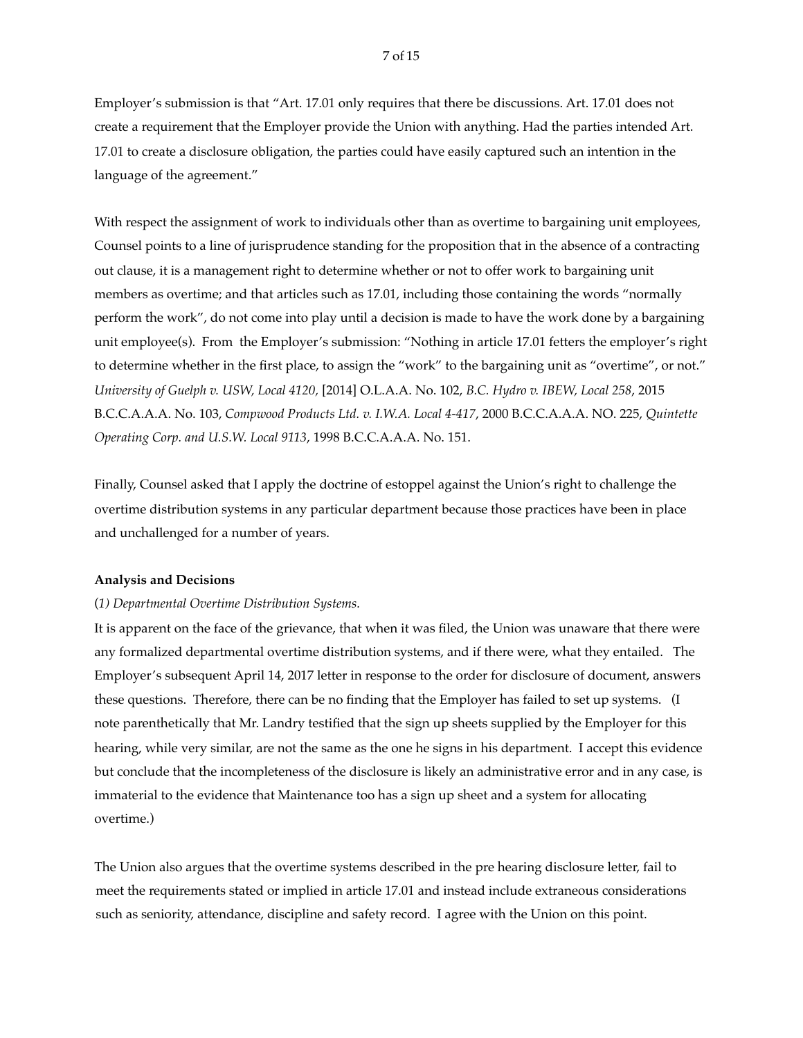Employer's submission is that "Art. 17.01 only requires that there be discussions. Art. 17.01 does not create a requirement that the Employer provide the Union with anything. Had the parties intended Art. 17.01 to create a disclosure obligation, the parties could have easily captured such an intention in the language of the agreement."

With respect the assignment of work to individuals other than as overtime to bargaining unit employees, Counsel points to a line of jurisprudence standing for the proposition that in the absence of a contracting out clause, it is a management right to determine whether or not to offer work to bargaining unit members as overtime; and that articles such as 17.01, including those containing the words "normally perform the work", do not come into play until a decision is made to have the work done by a bargaining unit employee(s). From the Employer's submission: "Nothing in article 17.01 fetters the employer's right to determine whether in the first place, to assign the "work" to the bargaining unit as "overtime", or not." *University of Guelph v. USW, Local 4120,* [2014] O.L.A.A. No. 102, *B.C. Hydro v. IBEW, Local 258*, 2015 B.C.C.A.A.A. No. 103, *Compwood Products Ltd. v. I.W.A. Local 4-417*, 2000 B.C.C.A.A.A. NO. 225, *Quintette Operating Corp. and U.S.W. Local 9113*, 1998 B.C.C.A.A.A. No. 151.

Finally, Counsel asked that I apply the doctrine of estoppel against the Union's right to challenge the overtime distribution systems in any particular department because those practices have been in place and unchallenged for a number of years.

### **Analysis and Decisions**

### (*1) Departmental Overtime Distribution Systems.*

It is apparent on the face of the grievance, that when it was filed, the Union was unaware that there were any formalized departmental overtime distribution systems, and if there were, what they entailed. The Employer's subsequent April 14, 2017 letter in response to the order for disclosure of document, answers these questions. Therefore, there can be no finding that the Employer has failed to set up systems. (I note parenthetically that Mr. Landry testified that the sign up sheets supplied by the Employer for this hearing, while very similar, are not the same as the one he signs in his department. I accept this evidence but conclude that the incompleteness of the disclosure is likely an administrative error and in any case, is immaterial to the evidence that Maintenance too has a sign up sheet and a system for allocating overtime.)

The Union also argues that the overtime systems described in the pre hearing disclosure letter, fail to meet the requirements stated or implied in article 17.01 and instead include extraneous considerations such as seniority, attendance, discipline and safety record. I agree with the Union on this point.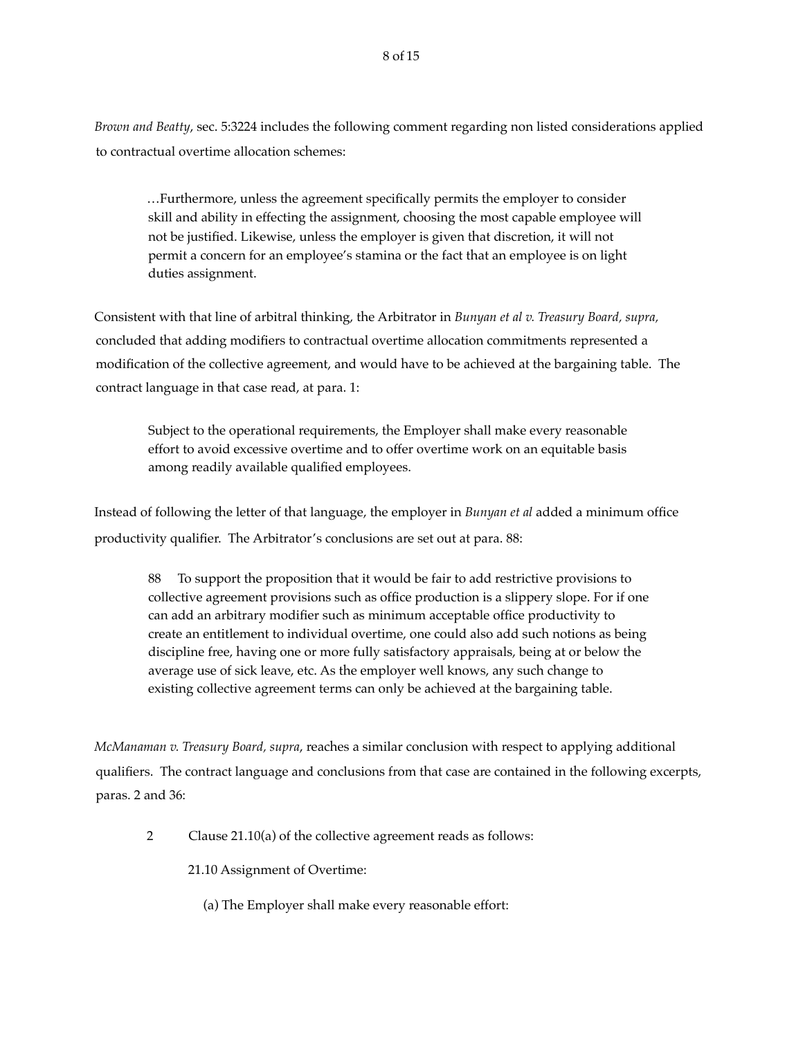*Brown and Beatty*, sec. 5:3224 includes the following comment regarding non listed considerations applied to contractual overtime allocation schemes:

…Furthermore, unless the agreement specifically permits the employer to consider skill and ability in effecting the assignment, choosing the most capable employee will not be justified. Likewise, unless the employer is given that discretion, it will not permit a concern for an employee's stamina or the fact that an employee is on light duties assignment.

Consistent with that line of arbitral thinking, the Arbitrator in *Bunyan et al v. Treasury Board, supra,*  concluded that adding modifiers to contractual overtime allocation commitments represented a modification of the collective agreement, and would have to be achieved at the bargaining table. The contract language in that case read, at para. 1:

Subject to the operational requirements, the Employer shall make every reasonable effort to avoid excessive overtime and to offer overtime work on an equitable basis among readily available qualified employees.

Instead of following the letter of that language, the employer in *Bunyan et al* added a minimum office productivity qualifier. The Arbitrator's conclusions are set out at para. 88:

88 To support the proposition that it would be fair to add restrictive provisions to collective agreement provisions such as office production is a slippery slope. For if one can add an arbitrary modifier such as minimum acceptable office productivity to create an entitlement to individual overtime, one could also add such notions as being discipline free, having one or more fully satisfactory appraisals, being at or below the average use of sick leave, etc. As the employer well knows, any such change to existing collective agreement terms can only be achieved at the bargaining table.

*McManaman v. Treasury Board, supra*, reaches a similar conclusion with respect to applying additional qualifiers. The contract language and conclusions from that case are contained in the following excerpts, paras. 2 and 36:

2 Clause 21.10(a) of the collective agreement reads as follows:

21.10 Assignment of Overtime:

(a) The Employer shall make every reasonable effort: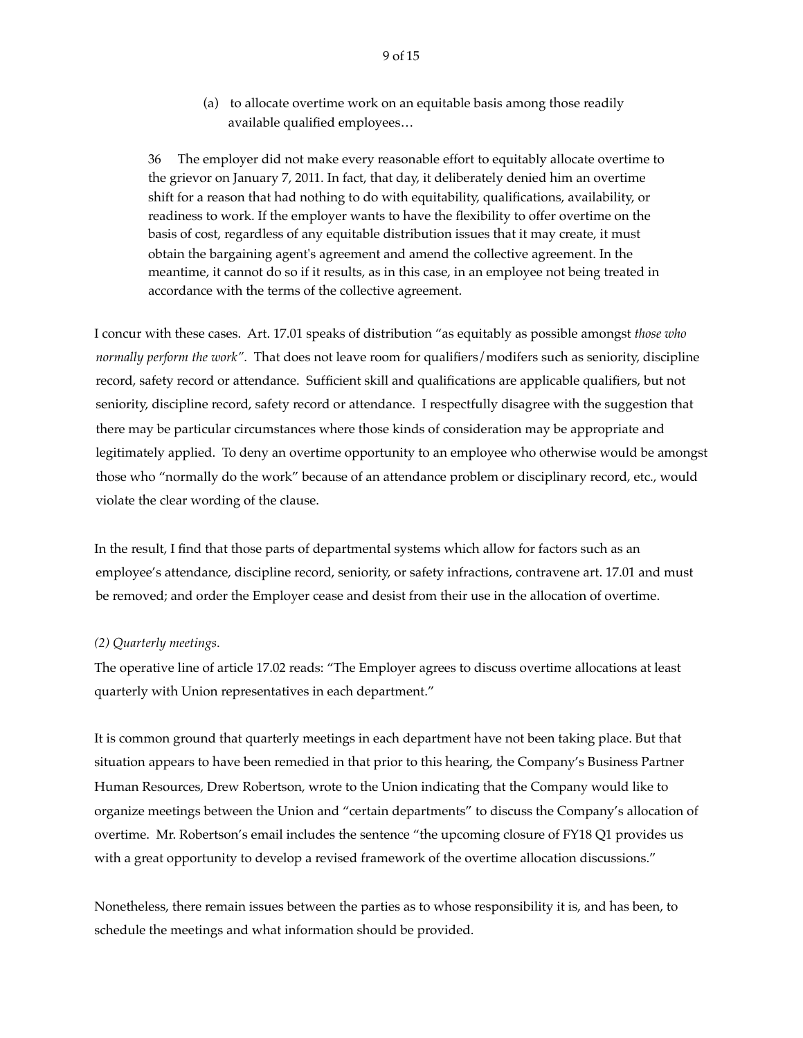(a) to allocate overtime work on an equitable basis among those readily available qualified employees…

36 The employer did not make every reasonable effort to equitably allocate overtime to the grievor on January 7, 2011. In fact, that day, it deliberately denied him an overtime shift for a reason that had nothing to do with equitability, qualifications, availability, or readiness to work. If the employer wants to have the flexibility to offer overtime on the basis of cost, regardless of any equitable distribution issues that it may create, it must obtain the bargaining agent's agreement and amend the collective agreement. In the meantime, it cannot do so if it results, as in this case, in an employee not being treated in accordance with the terms of the collective agreement.

I concur with these cases. Art. 17.01 speaks of distribution "as equitably as possible amongst *those who normally perform the work"*. That does not leave room for qualifiers/modifers such as seniority, discipline record, safety record or attendance. Sufficient skill and qualifications are applicable qualifiers, but not seniority, discipline record, safety record or attendance. I respectfully disagree with the suggestion that there may be particular circumstances where those kinds of consideration may be appropriate and legitimately applied. To deny an overtime opportunity to an employee who otherwise would be amongst those who "normally do the work" because of an attendance problem or disciplinary record, etc., would violate the clear wording of the clause.

In the result, I find that those parts of departmental systems which allow for factors such as an employee's attendance, discipline record, seniority, or safety infractions, contravene art. 17.01 and must be removed; and order the Employer cease and desist from their use in the allocation of overtime.

### *(2) Quarterly meetings*.

The operative line of article 17.02 reads: "The Employer agrees to discuss overtime allocations at least quarterly with Union representatives in each department."

It is common ground that quarterly meetings in each department have not been taking place. But that situation appears to have been remedied in that prior to this hearing, the Company's Business Partner Human Resources, Drew Robertson, wrote to the Union indicating that the Company would like to organize meetings between the Union and "certain departments" to discuss the Company's allocation of overtime. Mr. Robertson's email includes the sentence "the upcoming closure of FY18 Q1 provides us with a great opportunity to develop a revised framework of the overtime allocation discussions."

Nonetheless, there remain issues between the parties as to whose responsibility it is, and has been, to schedule the meetings and what information should be provided.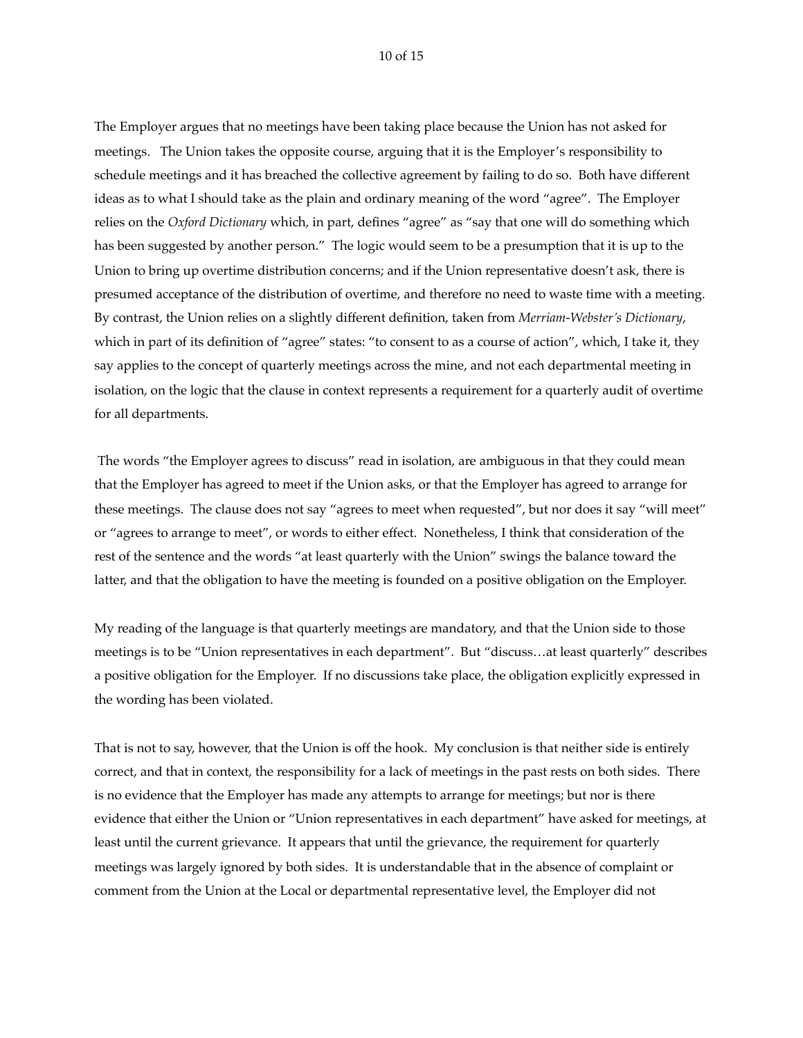#### 10 of 15

The Employer argues that no meetings have been taking place because the Union has not asked for meetings. The Union takes the opposite course, arguing that it is the Employer's responsibility to schedule meetings and it has breached the collective agreement by failing to do so. Both have different ideas as to what I should take as the plain and ordinary meaning of the word "agree". The Employer relies on the *Oxford Dictionary* which, in part, defines "agree" as "say that one will do something which has been suggested by another person." The logic would seem to be a presumption that it is up to the Union to bring up overtime distribution concerns; and if the Union representative doesn't ask, there is presumed acceptance of the distribution of overtime, and therefore no need to waste time with a meeting. By contrast, the Union relies on a slightly different definition, taken from *Merriam-Webster's Dictionary*, which in part of its definition of "agree" states: "to consent to as a course of action", which, I take it, they say applies to the concept of quarterly meetings across the mine, and not each departmental meeting in isolation, on the logic that the clause in context represents a requirement for a quarterly audit of overtime for all departments.

 The words "the Employer agrees to discuss" read in isolation, are ambiguous in that they could mean that the Employer has agreed to meet if the Union asks, or that the Employer has agreed to arrange for these meetings. The clause does not say "agrees to meet when requested", but nor does it say "will meet" or "agrees to arrange to meet", or words to either effect. Nonetheless, I think that consideration of the rest of the sentence and the words "at least quarterly with the Union" swings the balance toward the latter, and that the obligation to have the meeting is founded on a positive obligation on the Employer.

My reading of the language is that quarterly meetings are mandatory, and that the Union side to those meetings is to be "Union representatives in each department". But "discuss…at least quarterly" describes a positive obligation for the Employer. If no discussions take place, the obligation explicitly expressed in the wording has been violated.

That is not to say, however, that the Union is off the hook. My conclusion is that neither side is entirely correct, and that in context, the responsibility for a lack of meetings in the past rests on both sides. There is no evidence that the Employer has made any attempts to arrange for meetings; but nor is there evidence that either the Union or "Union representatives in each department" have asked for meetings, at least until the current grievance. It appears that until the grievance, the requirement for quarterly meetings was largely ignored by both sides. It is understandable that in the absence of complaint or comment from the Union at the Local or departmental representative level, the Employer did not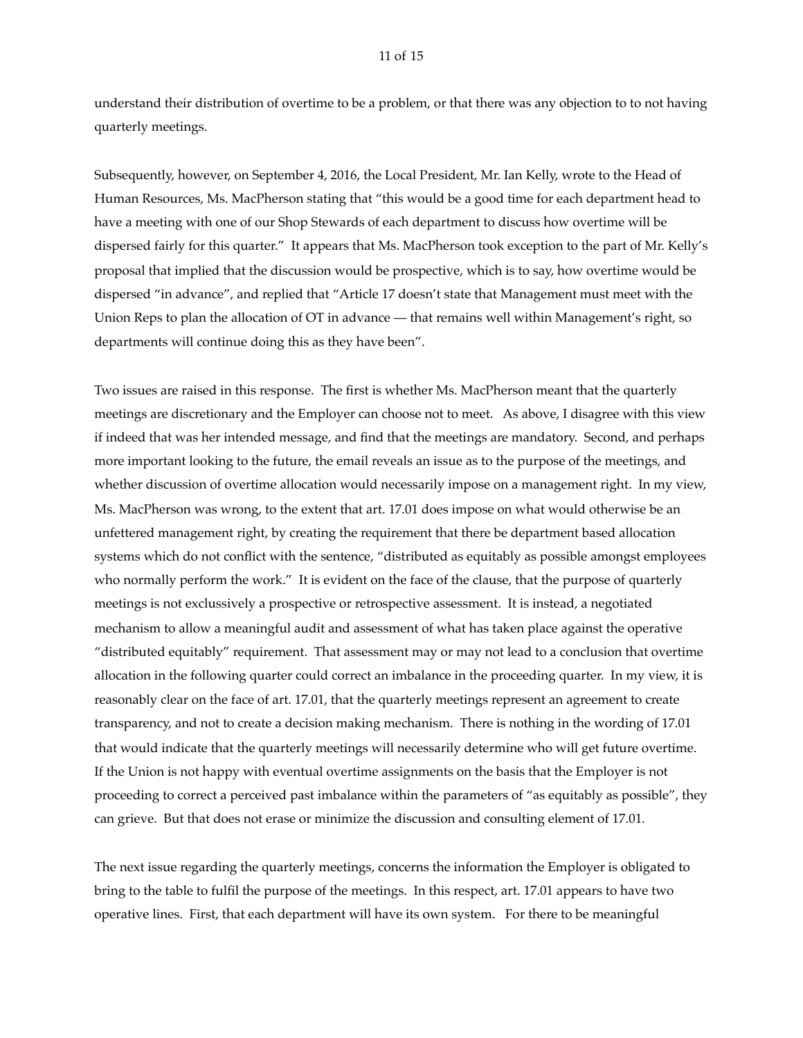understand their distribution of overtime to be a problem, or that there was any objection to to not having quarterly meetings.

Subsequently, however, on September 4, 2016, the Local President, Mr. Ian Kelly, wrote to the Head of Human Resources, Ms. MacPherson stating that "this would be a good time for each department head to have a meeting with one of our Shop Stewards of each department to discuss how overtime will be dispersed fairly for this quarter." It appears that Ms. MacPherson took exception to the part of Mr. Kelly's proposal that implied that the discussion would be prospective, which is to say, how overtime would be dispersed "in advance", and replied that "Article 17 doesn't state that Management must meet with the Union Reps to plan the allocation of OT in advance — that remains well within Management's right, so departments will continue doing this as they have been".

Two issues are raised in this response. The first is whether Ms. MacPherson meant that the quarterly meetings are discretionary and the Employer can choose not to meet. As above, I disagree with this view if indeed that was her intended message, and find that the meetings are mandatory. Second, and perhaps more important looking to the future, the email reveals an issue as to the purpose of the meetings, and whether discussion of overtime allocation would necessarily impose on a management right. In my view, Ms. MacPherson was wrong, to the extent that art. 17.01 does impose on what would otherwise be an unfettered management right, by creating the requirement that there be department based allocation systems which do not conflict with the sentence, "distributed as equitably as possible amongst employees who normally perform the work." It is evident on the face of the clause, that the purpose of quarterly meetings is not exclussively a prospective or retrospective assessment. It is instead, a negotiated mechanism to allow a meaningful audit and assessment of what has taken place against the operative "distributed equitably" requirement. That assessment may or may not lead to a conclusion that overtime allocation in the following quarter could correct an imbalance in the proceeding quarter. In my view, it is reasonably clear on the face of art. 17.01, that the quarterly meetings represent an agreement to create transparency, and not to create a decision making mechanism. There is nothing in the wording of 17.01 that would indicate that the quarterly meetings will necessarily determine who will get future overtime. If the Union is not happy with eventual overtime assignments on the basis that the Employer is not proceeding to correct a perceived past imbalance within the parameters of "as equitably as possible", they can grieve. But that does not erase or minimize the discussion and consulting element of 17.01.

The next issue regarding the quarterly meetings, concerns the information the Employer is obligated to bring to the table to fulfil the purpose of the meetings. In this respect, art. 17.01 appears to have two operative lines. First, that each department will have its own system. For there to be meaningful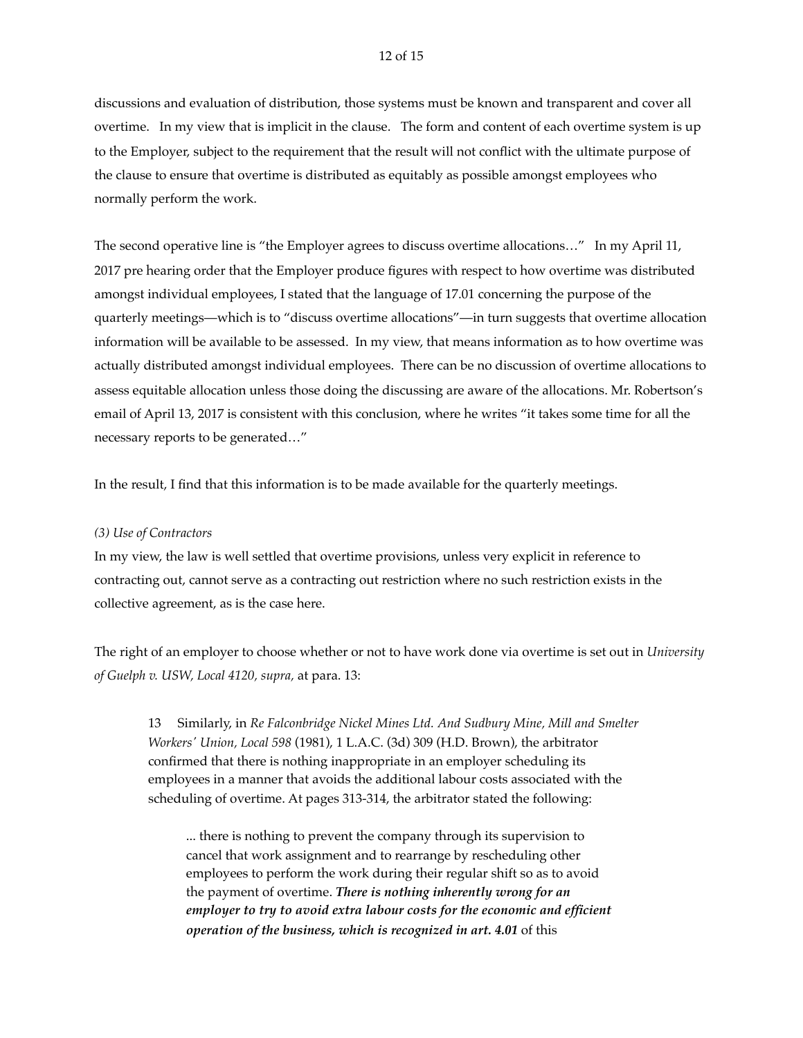discussions and evaluation of distribution, those systems must be known and transparent and cover all overtime. In my view that is implicit in the clause. The form and content of each overtime system is up to the Employer, subject to the requirement that the result will not conflict with the ultimate purpose of the clause to ensure that overtime is distributed as equitably as possible amongst employees who normally perform the work.

The second operative line is "the Employer agrees to discuss overtime allocations…" In my April 11, 2017 pre hearing order that the Employer produce figures with respect to how overtime was distributed amongst individual employees, I stated that the language of 17.01 concerning the purpose of the quarterly meetings—which is to "discuss overtime allocations"—in turn suggests that overtime allocation information will be available to be assessed. In my view, that means information as to how overtime was actually distributed amongst individual employees. There can be no discussion of overtime allocations to assess equitable allocation unless those doing the discussing are aware of the allocations. Mr. Robertson's email of April 13, 2017 is consistent with this conclusion, where he writes "it takes some time for all the necessary reports to be generated…"

In the result, I find that this information is to be made available for the quarterly meetings.

### *(3) Use of Contractors*

In my view, the law is well settled that overtime provisions, unless very explicit in reference to contracting out, cannot serve as a contracting out restriction where no such restriction exists in the collective agreement, as is the case here.

The right of an employer to choose whether or not to have work done via overtime is set out in *University of Guelph v. USW, Local 4120, supra,* at para. 13:

13 Similarly, in *Re Falconbridge Nickel Mines Ltd. And Sudbury Mine, Mill and Smelter Workers' Union, Local 598* (1981), 1 L.A.C. (3d) 309 (H.D. Brown), the arbitrator confirmed that there is nothing inappropriate in an employer scheduling its employees in a manner that avoids the additional labour costs associated with the scheduling of overtime. At pages 313-314, the arbitrator stated the following:

... there is nothing to prevent the company through its supervision to cancel that work assignment and to rearrange by rescheduling other employees to perform the work during their regular shift so as to avoid the payment of overtime. *There is nothing inherently wrong for an employer to try to avoid extra labour costs for the economic and efficient operation of the business, which is recognized in art. 4.01* of this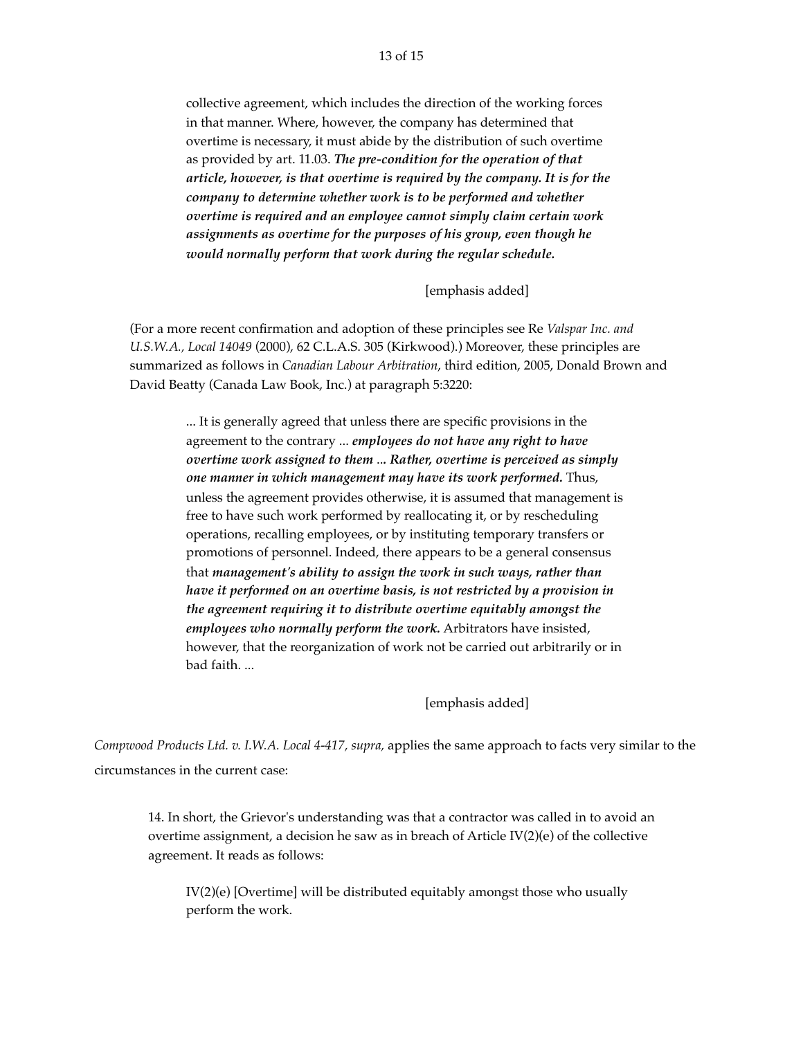collective agreement, which includes the direction of the working forces in that manner. Where, however, the company has determined that overtime is necessary, it must abide by the distribution of such overtime as provided by art. 11.03. *The pre-condition for the operation of that article, however, is that overtime is required by the company. It is for the company to determine whether work is to be performed and whether overtime is required and an employee cannot simply claim certain work assignments as overtime for the purposes of his group, even though he would normally perform that work during the regular schedule.*

[emphasis added]

(For a more recent confirmation and adoption of these principles see Re *Valspar Inc. and U.S.W.A., Local 14049* (2000), 62 C.L.A.S. 305 (Kirkwood).) Moreover, these principles are summarized as follows in *Canadian Labour Arbitration*, third edition, 2005, Donald Brown and David Beatty (Canada Law Book, Inc.) at paragraph 5:3220:

> ... It is generally agreed that unless there are specific provisions in the agreement to the contrary ... *employees do not have any right to have overtime work assigned to them* ..*. Rather, overtime is perceived as simply one manner in which management may have its work performed.* Thus, unless the agreement provides otherwise, it is assumed that management is free to have such work performed by reallocating it, or by rescheduling operations, recalling employees, or by instituting temporary transfers or promotions of personnel. Indeed, there appears to be a general consensus that *management's ability to assign the work in such ways, rather than have it performed on an overtime basis, is not restricted by a provision in the agreement requiring it to distribute overtime equitably amongst the employees who normally perform the work.* Arbitrators have insisted, however, that the reorganization of work not be carried out arbitrarily or in bad faith. ...

> > [emphasis added]

*Compwood Products Ltd. v. I.W.A. Local 4-417, supra,* applies the same approach to facts very similar to the circumstances in the current case:

14. In short, the Grievor's understanding was that a contractor was called in to avoid an overtime assignment, a decision he saw as in breach of Article IV(2)(e) of the collective agreement. It reads as follows:

IV(2)(e) [Overtime] will be distributed equitably amongst those who usually perform the work.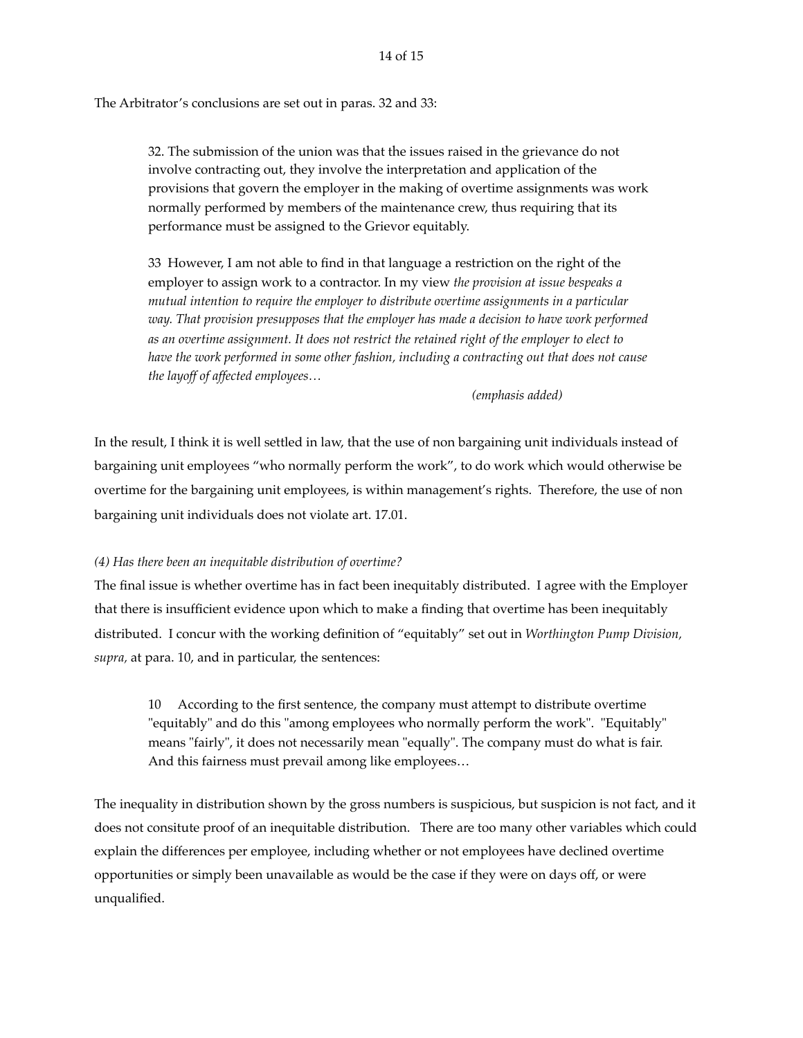The Arbitrator's conclusions are set out in paras. 32 and 33:

32. The submission of the union was that the issues raised in the grievance do not involve contracting out, they involve the interpretation and application of the provisions that govern the employer in the making of overtime assignments was work normally performed by members of the maintenance crew, thus requiring that its performance must be assigned to the Grievor equitably.

33 However, I am not able to find in that language a restriction on the right of the employer to assign work to a contractor. In my view *the provision at issue bespeaks a mutual intention to require the employer to distribute overtime assignments in a particular way. That provision presupposes that the employer has made a decision to have work performed as an overtime assignment. It does not restrict the retained right of the employer to elect to have the work performed in some other fashion, including a contracting out that does not cause the layoff of affected employees…*

*(emphasis added)*

In the result, I think it is well settled in law, that the use of non bargaining unit individuals instead of bargaining unit employees "who normally perform the work", to do work which would otherwise be overtime for the bargaining unit employees, is within management's rights. Therefore, the use of non bargaining unit individuals does not violate art. 17.01.

# *(4) Has there been an inequitable distribution of overtime?*

The final issue is whether overtime has in fact been inequitably distributed. I agree with the Employer that there is insufficient evidence upon which to make a finding that overtime has been inequitably distributed. I concur with the working definition of "equitably" set out in *Worthington Pump Division, supra,* at para. 10, and in particular, the sentences:

10 According to the first sentence, the company must attempt to distribute overtime "equitably" and do this "among employees who normally perform the work". "Equitably" means "fairly", it does not necessarily mean "equally". The company must do what is fair. And this fairness must prevail among like employees…

The inequality in distribution shown by the gross numbers is suspicious, but suspicion is not fact, and it does not consitute proof of an inequitable distribution. There are too many other variables which could explain the differences per employee, including whether or not employees have declined overtime opportunities or simply been unavailable as would be the case if they were on days off, or were unqualified.